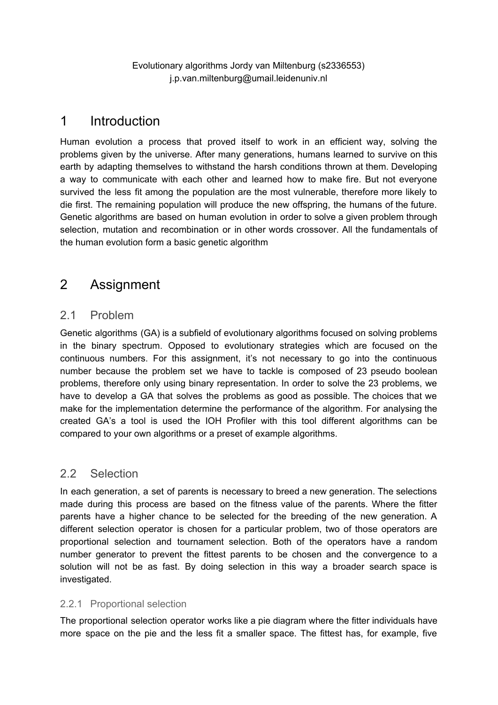Evolutionary algorithms Jordy van Miltenburg (s2336553) j.p.van.miltenburg@umail.leidenuniv.nl

## 1 Introduction

Human evolution a process that proved itself to work in an efficient way, solving the problems given by the universe. After many generations, humans learned to survive on this earth by adapting themselves to withstand the harsh conditions thrown at them. Developing a way to communicate with each other and learned how to make fire. But not everyone survived the less fit among the population are the most vulnerable, therefore more likely to die first. The remaining population will produce the new offspring, the humans of the future. Genetic algorithms are based on human evolution in order to solve a given problem through selection, mutation and recombination or in other words crossover. All the fundamentals of the human evolution form a basic genetic algorithm

# 2 Assignment

## 2.1 Problem

Genetic algorithms (GA) is a subfield of evolutionary algorithms focused on solving problems in the binary spectrum. Opposed to evolutionary strategies which are focused on the continuous numbers. For this assignment, it's not necessary to go into the continuous number because the problem set we have to tackle is composed of 23 pseudo boolean problems, therefore only using binary representation. In order to solve the 23 problems, we have to develop a GA that solves the problems as good as possible. The choices that we make for the implementation determine the performance of the algorithm. For analysing the created GA's a tool is used the IOH Profiler with this tool different algorithms can be compared to your own algorithms or a preset of example algorithms.

## 2.2 Selection

In each generation, a set of parents is necessary to breed a new generation. The selections made during this process are based on the fitness value of the parents. Where the fitter parents have a higher chance to be selected for the breeding of the new generation. A different selection operator is chosen for a particular problem, two of those operators are proportional selection and tournament selection. Both of the operators have a random number generator to prevent the fittest parents to be chosen and the convergence to a solution will not be as fast. By doing selection in this way a broader search space is investigated.

### 2.2.1 Proportional selection

The proportional selection operator works like a pie diagram where the fitter individuals have more space on the pie and the less fit a smaller space. The fittest has, for example, five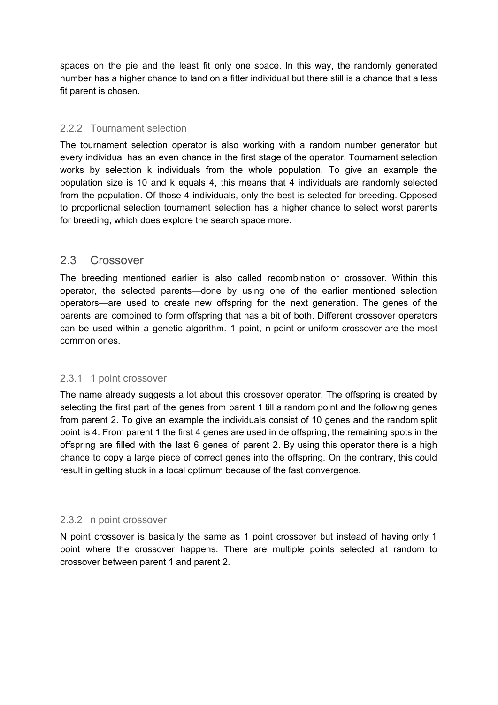spaces on the pie and the least fit only one space. In this way, the randomly generated number has a higher chance to land on a fitter individual but there still is a chance that a less fit parent is chosen.

#### 2.2.2 Tournament selection

The tournament selection operator is also working with a random number generator but every individual has an even chance in the first stage of the operator. Tournament selection works by selection k individuals from the whole population. To give an example the population size is 10 and k equals 4, this means that 4 individuals are randomly selected from the population. Of those 4 individuals, only the best is selected for breeding. Opposed to proportional selection tournament selection has a higher chance to select worst parents for breeding, which does explore the search space more.

### 2.3 Crossover

The breeding mentioned earlier is also called recombination or crossover. Within this operator, the selected parents—done by using one of the earlier mentioned selection operators—are used to create new offspring for the next generation. The genes of the parents are combined to form offspring that has a bit of both. Different crossover operators can be used within a genetic algorithm. 1 point, n point or uniform crossover are the most common ones.

#### 2.3.1 1 point crossover

The name already suggests a lot about this crossover operator. The offspring is created by selecting the first part of the genes from parent 1 till a random point and the following genes from parent 2. To give an example the individuals consist of 10 genes and the random split point is 4. From parent 1 the first 4 genes are used in de offspring, the remaining spots in the offspring are filled with the last 6 genes of parent 2. By using this operator there is a high chance to copy a large piece of correct genes into the offspring. On the contrary, this could result in getting stuck in a local optimum because of the fast convergence.

#### 2.3.2 n point crossover

N point crossover is basically the same as 1 point crossover but instead of having only 1 point where the crossover happens. There are multiple points selected at random to crossover between parent 1 and parent 2.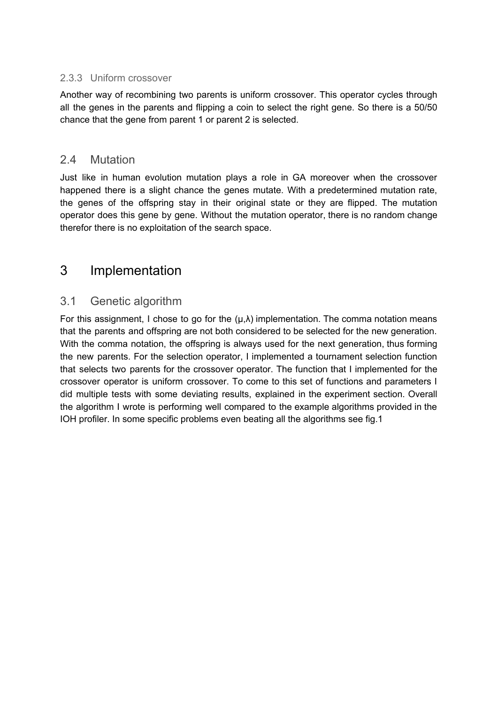#### 2.3.3 Uniform crossover

Another way of recombining two parents is uniform crossover. This operator cycles through all the genes in the parents and flipping a coin to select the right gene. So there is a 50/50 chance that the gene from parent 1 or parent 2 is selected.

### 2.4 Mutation

Just like in human evolution mutation plays a role in GA moreover when the crossover happened there is a slight chance the genes mutate. With a predetermined mutation rate, the genes of the offspring stay in their original state or they are flipped. The mutation operator does this gene by gene. Without the mutation operator, there is no random change therefor there is no exploitation of the search space.

# 3 Implementation

## 3.1 Genetic algorithm

For this assignment, I chose to go for the  $(\mu, \lambda)$  implementation. The comma notation means that the parents and offspring are not both considered to be selected for the new generation. With the comma notation, the offspring is always used for the next generation, thus forming the new parents. For the selection operator, I implemented a tournament selection function that selects two parents for the crossover operator. The function that I implemented for the crossover operator is uniform crossover. To come to this set of functions and parameters I did multiple tests with some deviating results, explained in the experiment section. Overall the algorithm I wrote is performing well compared to the example algorithms provided in the IOH profiler. In some specific problems even beating all the algorithms see fig.1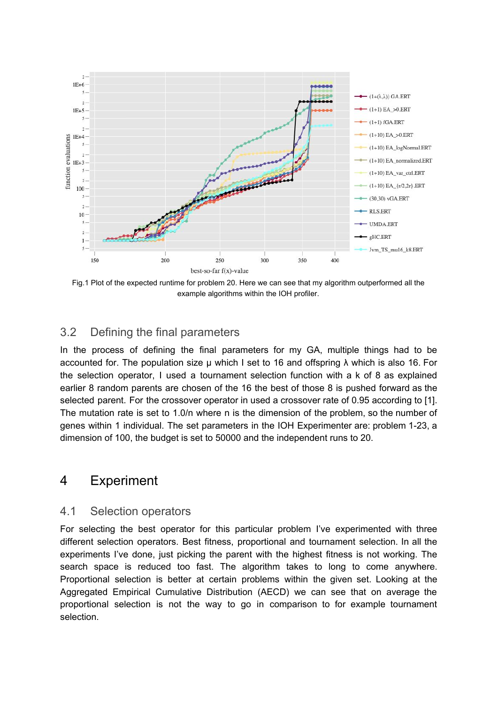

Fig.1 Plot of the expected runtime for problem 20. Here we can see that my algorithm outperformed all the example algorithms within the IOH profiler.

### 3.2 Defining the final parameters

In the process of defining the final parameters for my GA, multiple things had to be accounted for. The population size μ which I set to 16 and offspring λ which is also 16. For the selection operator, I used a tournament selection function with a k of 8 as explained earlier 8 random parents are chosen of the 16 the best of those 8 is pushed forward as the selected parent. For the crossover operator in used a crossover rate of 0.95 according to [1]. The mutation rate is set to 1.0/n where n is the dimension of the problem, so the number of genes within 1 individual. The set parameters in the IOH Experimenter are: problem 1-23, a dimension of 100, the budget is set to 50000 and the independent runs to 20.

## 4 Experiment

#### 4.1 Selection operators

For selecting the best operator for this particular problem I've experimented with three different selection operators. Best fitness, proportional and tournament selection. In all the experiments I've done, just picking the parent with the highest fitness is not working. The search space is reduced too fast. The algorithm takes to long to come anywhere. Proportional selection is better at certain problems within the given set. Looking at the Aggregated Empirical Cumulative Distribution (AECD) we can see that on average the proportional selection is not the way to go in comparison to for example tournament selection.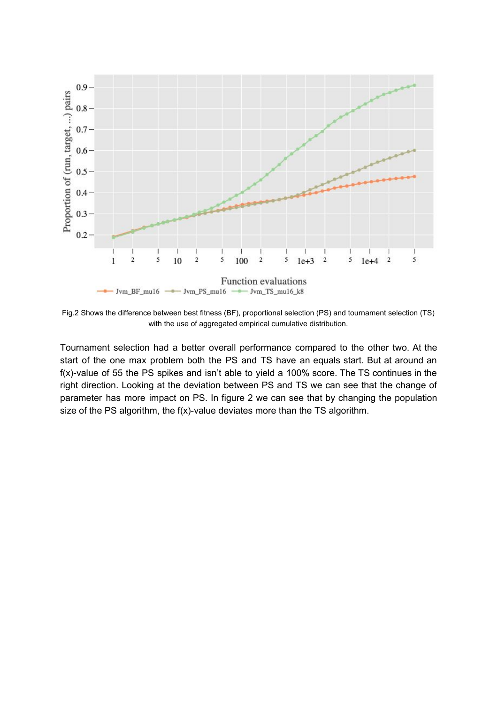

Fig.2 Shows the difference between best fitness (BF), proportional selection (PS) and tournament selection (TS) with the use of aggregated empirical cumulative distribution.

Tournament selection had a better overall performance compared to the other two. At the start of the one max problem both the PS and TS have an equals start. But at around an f(x)-value of 55 the PS spikes and isn't able to yield a 100% score. The TS continues in the right direction. Looking at the deviation between PS and TS we can see that the change of parameter has more impact on PS. In figure 2 we can see that by changing the population size of the PS algorithm, the f(x)-value deviates more than the TS algorithm.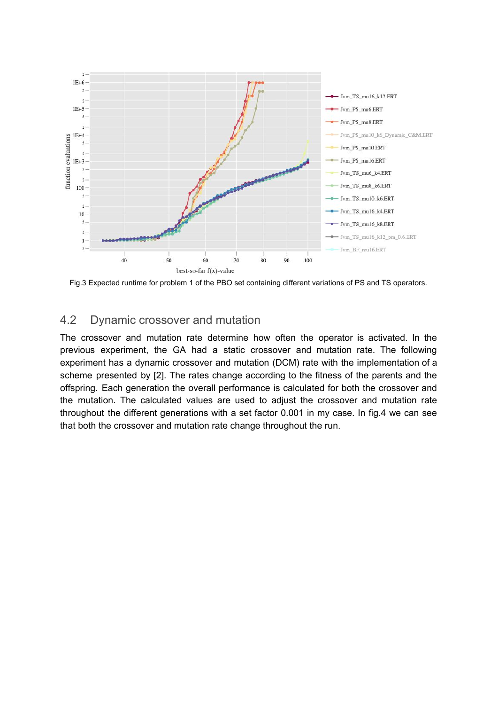

Fig.3 Expected runtime for problem 1 of the PBO set containing different variations of PS and TS operators.

### 4.2 Dynamic crossover and mutation

The crossover and mutation rate determine how often the operator is activated. In the previous experiment, the GA had a static crossover and mutation rate. The following experiment has a dynamic crossover and mutation (DCM) rate with the implementation of a scheme presented by [2]. The rates change according to the fitness of the parents and the offspring. Each generation the overall performance is calculated for both the crossover and the mutation. The calculated values are used to adjust the crossover and mutation rate throughout the different generations with a set factor 0.001 in my case. In fig.4 we can see that both the crossover and mutation rate change throughout the run.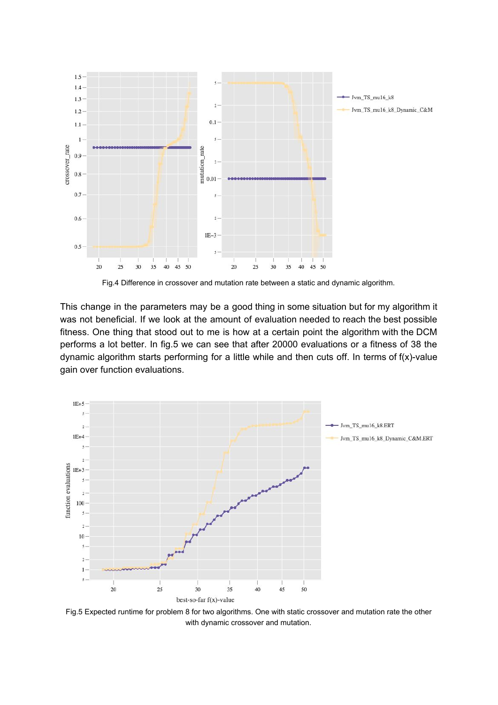

Fig.4 Difference in crossover and mutation rate between a static and dynamic algorithm.

This change in the parameters may be a good thing in some situation but for my algorithm it was not beneficial. If we look at the amount of evaluation needed to reach the best possible fitness. One thing that stood out to me is how at a certain point the algorithm with the DCM performs a lot better. In fig.5 we can see that after 20000 evaluations or a fitness of 38 the dynamic algorithm starts performing for a little while and then cuts off. In terms of f(x)-value gain over function evaluations.



Fig.5 Expected runtime for problem 8 for two algorithms. One with static crossover and mutation rate the other with dynamic crossover and mutation.